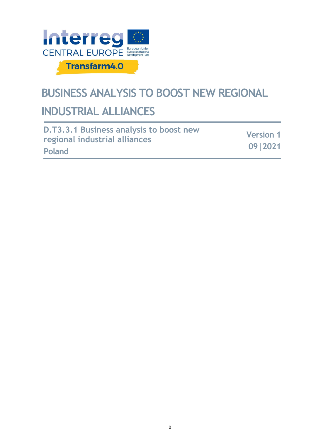

# **BUSINESS ANALYSIS TO BOOST NEW REGIONAL**

# **INDUSTRIAL ALLIANCES**

| D.T3.3.1 Business analysis to boost new | <b>Version 1</b> |
|-----------------------------------------|------------------|
| regional industrial alliances           |                  |
| Poland                                  | 09 2021          |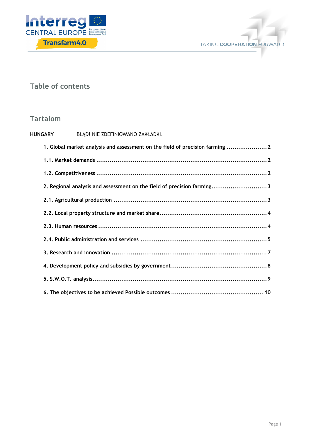



## **Table of contents**

## **Tartalom**

| HUNGARY<br>BŁĄD! NIE ZDEFINIOWANO ZAKŁADKI.                                   |  |
|-------------------------------------------------------------------------------|--|
| 1. Global market analysis and assessment on the field of precision farming  2 |  |
|                                                                               |  |
|                                                                               |  |
| 2. Regional analysis and assessment on the field of precision farming3        |  |
|                                                                               |  |
|                                                                               |  |
|                                                                               |  |
|                                                                               |  |
|                                                                               |  |
|                                                                               |  |
|                                                                               |  |
|                                                                               |  |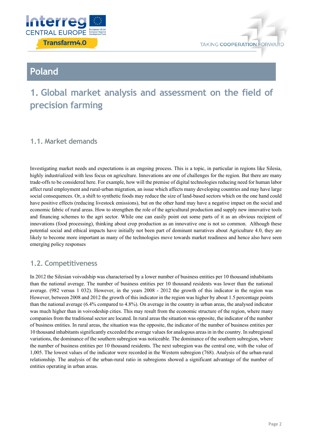



## **Poland**

## **1. Global market analysis and assessment on the field of precision farming**

### **1.1. Market demands**

Investigating market needs and expectations is an ongoing process. This is a topic, in particular in regions like Silesia, highly industrialized with less focus on agriculture. Innovations are one of challenges for the region. But there are many trade-offs to be considered here. For example, how will the premise of digital technologies reducing need for human labor affect rural employment and rural-urban migration, an issue which affects many developing countries and may have large social consequences. Or, a shift to synthetic foods may reduce the size of land-based sectors which on the one hand could have positive effects (reducing livestock emissions), but on the other hand may have a negative impact on the social and economic fabric of rural areas. How to strengthen the role of the agricultural production and supply new innovative tools and financing schemes to the agri sector. While one can easily point out some parts of it as an obvious recipient of innovations (food processing), thinking about crop production as an innovative one is not so common. Although these potential social and ethical impacts have initially not been part of dominant narratives about Agriculture 4.0, they are likely to become more important as many of the technologies move towards market readiness and hence also have seen emerging policy responses

## **1.2. Competitiveness**

In 2012 the Silesian voivodship was characterised by a lower number of business entities per 10 thousand inhabitants than the national average. The number of business entities per 10 thousand residents was lower than the national average. (982 versus 1 032). However, in the years 2008 - 2012 the growth of this indicator in the region was However, between 2008 and 2012 the growth of this indicator in the region was higher by about 1.5 percentage points than the national average (6.4% compared to 4.8%). On average in the country in urban areas, the analysed indicator was much higher than in voivodeship cities. This may result from the economic structure of the region, where many companies from the traditional sector are located. In rural areas the situation was opposite, the indicator of the number of business entities. In rural areas, the situation was the opposite, the indicator of the number of business entities per 10 thousand inhabitants significantly exceeded the average values for analogous areas in in the country. In subregional variations, the dominance of the southern subregion was noticeable. The dominance of the southern subregion, where the number of business entities per 10 thousand residents. The next subregion was the central one, with the value of 1,005. The lowest values of the indicator were recorded in the Western subregion (768). Analysis of the urban-rural relationship. The analysis of the urban-rural ratio in subregions showed a significant advantage of the number of entities operating in urban areas.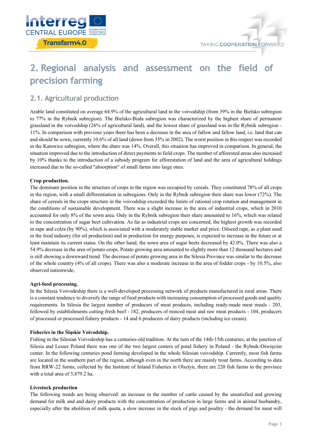

## **2. Regional analysis and assessment on the field of precision farming**

## **2.1. Agricultural production**

Arable land constituted on average 64.9% of the agricultural land in the voivodship (from 39% in the Bielsko subregion to 77% in the Rybnik subregion). The Bielsko-Biała subregion was characterized by the highest share of permanent grassland in the voivodship (26% of agricultural land), and the lowest share of grassland was in the Rybnik subregion - 11%. In comparison with previous years there has been a decrease in the area of fallow and fallow land, i.e. land that can and should be sown, currently 10.6% of all land (down from 35% in 2002). The worst position in this respect was recorded in the Katowice subregion, where the share was 14%. Overall, this situation has improved in comparison. In general, the situation improved due to the introduction of direct payments to field crops. The number of afforested areas also increased by 10% thanks to the introduction of a subsidy program for afforestation of land and the area of agricultural holdings increased due to the so-called "absorption" of small farms into large ones.

#### **Crop production.**

The dominant position in the structure of crops in the region was occupied by cereals. They constituted 78% of all crops in the region, with a small differentiation in subregions. Only in the Rybnik subregion their share was lower (72%). The share of cereals in the crops structure in the voivodship exceeded the limits of rational crop rotation and management in the conditions of sustainable development. There was a slight increase in the area of industrial crops, which in 2010 accounted for only 8% of the sown area. Only in the Rybnik subregion their share amounted to 16%, which was related to the concentration of sugar beet cultivation. As far as industrial crops are concerned, the highest growth was recorded in rape and colza (by 90%), which is associated with a moderately stable market and price. Oilseed rape, as a plant used in the food industry (for oil production) and in production for energy purposes, is expected to increase in the future or at least maintain its current status. On the other hand, the sown area of sugar beets decreased by 42.0%. There was also a 54.9% decrease in the area of potato crops. Potato growing area amounted to slightly more than 12 thousand hectares and is still showing a downward trend. The decrease of potato growing area in the Silesia Province was similar to the decrease of the whole country (4% of all crops). There was also a moderate increase in the area of fodder crops - by 10.5%, also observed nationwide,

#### **Agri-food processing.**

In the Silesia Voivodeship there is a well-developed processing network of products manufactured in rural areas. There is a constant tendency to diversify the range of food products with increasing consumption of processed goods and quality requirements. In Silesia the largest number of producers of meat products, including ready-made meat meals - 203, followed by establishments cutting fresh beef - 182, producers of minced meat and raw meat products - 104, producers of processed or processed fishery products - 14 and 6 producers of dairy products (including ice cream).

#### **Fisheries in the Śląskie Voivodship.**

Fishing in the Silesian Voivodeship has a centuries-old tradition. At the turn of the 14th-15th centuries, at the junction of Silesia and Lesser Poland there was one of the two largest centers of pond fishery in Poland - the Rybnik-Oświęcim center. In the following centuries pond farming developed in the whole Silesian voivodship. Currently, most fish farms are located in the southern part of the region, although even in the north there are mainly trout farms. According to data from RRW-22 forms, collected by the Institute of Inland Fisheries in Olsztyn, there are 220 fish farms in the province with a total area of 5,879.2 ha.

#### **Livestock production**

The following trends are being observed: an increase in the number of cattle caused by the unsatisfied and growing demand for milk and and dairy products with the concentration of production in large farms and in animal husbandry, especially after the abolition of milk quota, a slow increase in the stock of pigs and poultry - the demand for meat will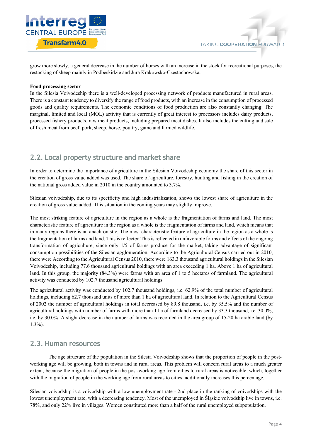

grow more slowly, a general decrease in the number of horses with an increase in the stock for recreational purposes, the restocking of sheep mainly in Podbeskidzie and Jura Krakowsko-Częstochowska.

#### **Food processing sector**

In the Silesia Voivodeship there is a well-developed processing network of products manufactured in rural areas. There is a constant tendency to diversify the range of food products, with an increase in the consumption of processed goods and quality requirements. The economic conditions of food production are also constantly changing. The marginal, limited and local (MOL) activity that is currently of great interest to processors includes dairy products, processed fishery products, raw meat products, including prepared meat dishes. It also includes the cutting and sale of fresh meat from beef, pork, sheep, horse, poultry, game and farmed wildlife.

### **2.2. Local property structure and market share**

In order to determine the importance of agriculture in the Silesian Voivodeship economy the share of this sector in the creation of gross value added was used. The share of agriculture, forestry, hunting and fishing in the creation of the national gross added value in 2010 in the country amounted to 3.7%.

Silesian voivodeship, due to its specificity and high industrialization, shows the lowest share of agriculture in the creation of gross value added. This situation in the coming years may slightly improve.

The most striking feature of agriculture in the region as a whole is the fragmentation of farms and land. The most characteristic feature of agriculture in the region as a whole is the fragmentation of farms and land, which means that in many regions there is an anachronistic. The most characteristic feature of agriculture in the region as a whole is the fragmentation of farms and land. This is reflected This is reflected in unfavorable forms and effects of the ongoing transformation of agriculture, since only 1/5 of farms produce for the market, taking advantage of significant consumption possibilities of the Silesian agglomeration. According to the Agricultural Census carried out in 2010, there were According to the Agricultural Census 2010, there were 163.3 thousand agricultural holdings in the Silesian Voivodeship, including 77.6 thousand agricultural holdings with an area exceeding 1 ha. Above 1 ha of agricultural land. In this group, the majority (84.3%) were farms with an area of 1 to 5 hectares of farmland. The agricultural activity was conducted by 102.7 thousand agricultural holdings.

The agricultural activity was conducted by 102.7 thousand holdings, i.e. 62.9% of the total number of agricultural holdings, including 62.7 thousand units of more than 1 ha of agricultural land. In relation to the Agricultural Census of 2002 the number of agricultural holdings in total decreased by 89.8 thousand, i.e. by 35.5% and the number of agricultural holdings with number of farms with more than 1 ha of farmland decreased by 33.3 thousand, i.e. 30.0%, i.e. by 30.0%. A slight decrease in the number of farms was recorded in the area group of 15-20 ha arable land (by 1.3%).

### **2.3. Human resources**

The age structure of the population in the Silesia Voivodeship shows that the proportion of people in the postworking age will be growing, both in towns and in rural areas. This problem will concern rural areas to a much greater extent, because the migration of people in the post-working age from cities to rural areas is noticeable, which, together with the migration of people in the working age from rural areas to cities, additionally increases this percentage.

Silesian voivodship is a voivodship with a low unemployment rate - 2nd place in the ranking of voivodships with the lowest unemployment rate, with a decreasing tendency. Most of the unemployed in Śląskie voivodship live in towns, i.e. 78%, and only 22% live in villages. Women constituted more than a half of the rural unemployed subpopulation.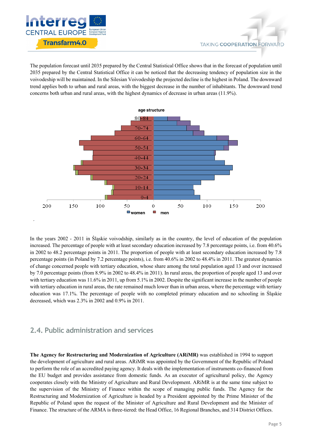

The population forecast until 2035 prepared by the Central Statistical Office shows that in the forecast of population until 2035 prepared by the Central Statistical Office it can be noticed that the decreasing tendency of population size in the voivodeship will be maintained. In the Silesian Voivodeship the projected decline is the highest in Poland. The downward trend applies both to urban and rural areas, with the biggest decrease in the number of inhabitants. The downward trend concerns both urban and rural areas, with the highest dynamics of decrease in urban areas (11.9%).



In the years 2002 - 2011 in Śląskie voivodship, similarly as in the country, the level of education of the population increased. The percentage of people with at least secondary education increased by 7.8 percentage points, i.e. from 40.6% in 2002 to 48.2 percentage points in 2011. The proportion of people with at least secondary education increased by 7.8 percentage points (in Poland by 7.2 percentage points), i.e. from 40.6% in 2002 to 48.4% in 2011. The greatest dynamics of change concerned people with tertiary education, whose share among the total population aged 13 and over increased by 7.0 percentage points (from 8.9% in 2002 to 48.4% in 2011). In rural areas, the proportion of people aged 13 and over with tertiary education was 11.6% in 2011, up from 5.1% in 2002. Despite the significant increase in the number of people with tertiary education in rural areas, the rate remained much lower than in urban areas, where the percentage with tertiary education was 17.1%. The percentage of people with no completed primary education and no schooling in Śląskie decreased, which was 2.3% in 2002 and 0.9% in 2011.

## **2.4. Public administration and services**

**The Agency for Restructuring and Modernization of Agriculture (ARiMR)** was established in 1994 to support the development of agriculture and rural areas. ARiMR was appointed by the Government of the Republic of Poland to perform the role of an accredited paying agency. It deals with the implementation of instruments co-financed from the EU budget and provides assistance from domestic funds. As an executor of agricultural policy, the Agency cooperates closely with the Ministry of Agriculture and Rural Development. ARiMR is at the same time subject to the supervision of the Ministry of Finance within the scope of managing public funds. The Agency for the Restructuring and Modernization of Agriculture is headed by a President appointed by the Prime Minister of the Republic of Poland upon the request of the Minister of Agriculture and Rural Development and the Minister of Finance. The structure of the ARMA is three-tiered: the Head Office, 16 Regional Branches, and 314 District Offices.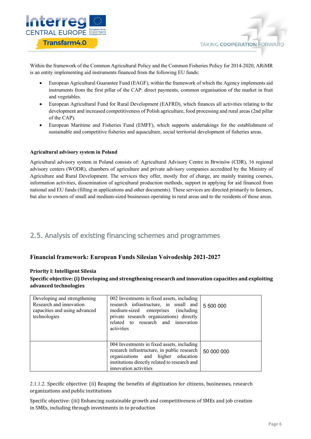

Within the framework of the Common Agricultural Policy and the Common Fisheries Policy for 2014-2020, ARiMR is an entity implementing aid instruments financed from the following EU funds:

- European Agricultural Guarantee Fund (EAGF), within the framework of which the Agency implements aid instruments from the first pillar of the CAP: direct payments, common organisation of the market in fruit and vegetables.
- European Agricultural Fund for Rural Development (EAFRD), which finances all activities relating to the development and increased competitiveness of Polish agriculture, food processing and rural areas (2nd pillar of the CAP).
- European Maritime and Fisheries Fund (EMFF), which supports undertakings for the establishment of sustainable and competitive fisheries and aquaculture, social territorial development of fisheries areas.

#### **Agricultural advisory system in Poland**

Agricultural advisory system in Poland consists of: Agricultural Advisory Centre in Brwinów (CDR), 16 regional advisory centers (WODR), chambers of agriculture and private advisory companies accredited by the Ministry of Agriculture and Rural Development. The services they offer, mostly free of charge, are mainly training courses, information activities, dissemination of agricultural production methods, support in applying for aid financed from national and EU funds (filling in applications and other documents). These services are directed primarily to farmers, but also to owners of small and medium-sized businesses operating in rural areas and to the residents of those areas.

## **2.5. Analysis of existing financing schemes and programmes**

### **Financial framework: European Funds Silesian Voivodeship 2021-2027**

#### **Priority I: Intelligent Silesia**

### Specific objective: (i) Developing and strengthening research and innovation capacities and exploiting **advanced technologies**

| Developing and strengthening<br>Research and innovation<br>capacities and using advanced<br>technologies | 002 Investments in fixed assets, including<br>research infrastructure, in small and<br>medium-sized enterprises (including<br>private research organizations) directly<br>related to research and innovation<br>activities | 5 500 000  |
|----------------------------------------------------------------------------------------------------------|----------------------------------------------------------------------------------------------------------------------------------------------------------------------------------------------------------------------------|------------|
|                                                                                                          | 004 Investments in fixed assets, including<br>research infrastructure, in public research<br>organizations and higher education<br>institutions directly related to research and<br>innovation activities                  | 50 000 000 |

2.1.1.2. Specific objective: (ii) Reaping the benefits of digitization for citizens, businesses, research organizations and public institutions

Specific objective: (iii) Enhancing sustainable growth and competitiveness of SMEs and job creation in SMEs, including through investments in to production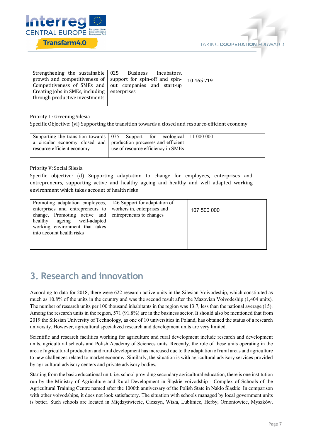



|                                                  | Strengthening the sustainable   025 Business Incubators,                        |  |
|--------------------------------------------------|---------------------------------------------------------------------------------|--|
|                                                  | growth and competitiveness of support for spin-off and spin- $\vert$ 10 465 719 |  |
|                                                  | Competitiveness of SMEs and out companies and start-up                          |  |
| Creating jobs in SMEs, including $ $ enterprises |                                                                                 |  |
| through productive investments                   |                                                                                 |  |
|                                                  |                                                                                 |  |

Priority II: Greening Silesia

Specific Objective: (vi) Supporting the transition towards a closed and resource-efficient economy

|                            | Supporting the transition towards 075 Support for ecological 11 000 000 |
|----------------------------|-------------------------------------------------------------------------|
|                            | a circular economy closed and production processes and efficient        |
| resource efficient economy | use of resource efficiency in SMEs                                      |

#### Priority V: Social Silesia

Specific objective: (d) Supporting adaptation to change for employees, enterprises and entrepreneurs, supporting active and healthy ageing and healthy and well adapted working environment which takes account of health risks

| Promoting adaptation employees, 146 Support for adaptation of<br>enterprises and entrepreneurs to<br>change, Promoting active and entrepreneurs to changes | workers in, enterprises and | 107 500 000 |
|------------------------------------------------------------------------------------------------------------------------------------------------------------|-----------------------------|-------------|
| healthy ageing well-adapted<br>working environment that takes<br>into account health risks                                                                 |                             |             |
|                                                                                                                                                            |                             |             |

## **3. Research and innovation**

According to data for 2018, there were 622 research-active units in the Silesian Voivodeship, which constituted as much as 10.8% of the units in the country and was the second result after the Mazovian Voivodeship (1,404 units). The number of research units per 100 thousand inhabitants in the region was 13.7, less than the national average (15). Among the research units in the region, 571 (91.8%) are in the business sector. It should also be mentioned that from 2019 the Silesian University of Technology, as one of 10 universities in Poland, has obtained the status of a research university. However, agricultural specialized research and development units are very limited.

Scientific and research facilities working for agriculture and rural development include research and development units, agricultural schools and Polish Academy of Sciences units. Recently, the role of these units operating in the area of agricultural production and rural development has increased due to the adaptation of rural areas and agriculture to new challenges related to market economy. Similarly, the situation is with agricultural advisory services provided by agricultural advisory centers and private advisory bodies.

Starting from the basic educational unit, i.e. school providing secondary agricultural education, there is one institution run by the Ministry of Agriculture and Rural Development in Śląskie voivodship - Complex of Schools of the Agricultural Training Centre named after the 1000th anniversary of the Polish State in Nakło Śląskie. In comparison with other voivodships, it does not look satisfactory. The situation with schools managed by local government units is better. Such schools are located in Międzyświecie, Cieszyn, Wisła, Lubliniec, Herby, Ornontowice, Myszków,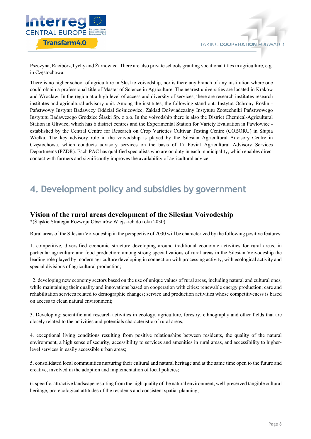

Pszczyna, Racibórz,Tychy and Żarnowiec. There are also private schools granting vocational titles in agriculture, e.g. in Częstochowa.

There is no higher school of agriculture in Śląskie voivodship, nor is there any branch of any institution where one could obtain a professional title of Master of Science in Agriculture. The nearest universities are located in Kraków and Wrocław. In the region at a high level of access and diversity of services, there are research institutes research institutes and agricultural advisory unit. Among the institutes, the following stand out: Instytut Ochrony Roślin - Państwowy Instytut Badawczy Oddział Sośnicowice, Zakład Doświadczalny Instytutu Zootechniki Państwowego Instytutu Badawczego Grodziec Śląski Sp. z o.o. In the voivodship there is also the District Chemical-Agricultural Station in Gliwice, which has 6 district centres and the Experimental Station for Variety Evaluation in Pawłowice established by the Central Centre for Research on Crop Varieties Cultivar Testing Centre (COBORU) in Słupia Wielka. The key advisory role in the voivodship is played by the Silesian Agricultural Advisory Centre in Częstochowa, which conducts advisory services on the basis of 17 Poviat Agricultural Advisory Services Departments (PZDR). Each PAC has qualified specialists who are on duty in each municipality, which enables direct contact with farmers and significantly improves the availability of agricultural advice.

## **4. Development policy and subsidies by government**

### **Vision of the rural areas development of the Silesian Voivodeship**

\*(Śląskie Strategia Rozwoju Obszarów Wiejskich do roku 2030)

Rural areas of the Silesian Voivodeship in the perspective of 2030 will be characterized by the following positive features:

1. competitive, diversified economic structure developing around traditional economic activities for rural areas, in particular agriculture and food production; among strong specializations of rural areas in the Silesian Voivodeship the leading role played by modern agriculture developing in connection with processing activity, with ecological activity and special divisions of agricultural production;

2. developing new economy sectors based on the use of unique values of rural areas, including natural and cultural ones, while maintaining their quality and innovations based on cooperation with cities: renewable energy production; care and rehabilitation services related to demographic changes; service and production activities whose competitiveness is based on access to clean natural environment;

3. Developing: scientific and research activities in ecology, agriculture, forestry, ethnography and other fields that are closely related to the activities and potentials characteristic of rural areas;

4. exceptional living conditions resulting from positive relationships between residents, the quality of the natural environment, a high sense of security, accessibility to services and amenities in rural areas, and accessibility to higherlevel services in easily accessible urban areas;

5. consolidated local communities nurturing their cultural and natural heritage and at the same time open to the future and creative, involved in the adoption and implementation of local policies;

6. specific, attractive landscape resulting from the high quality of the natural environment, well-preserved tangible cultural heritage, pro-ecological attitudes of the residents and consistent spatial planning;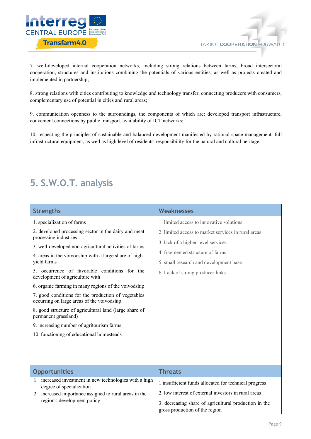



7. well-developed internal cooperation networks, including strong relations between farms, broad intersectoral cooperation, structures and institutions combining the potentials of various entities, as well as projects created and implemented in partnership;

8. strong relations with cities contributing to knowledge and technology transfer, connecting producers with consumers, complementary use of potential in cities and rural areas;

9. communication openness to the surroundings, the components of which are: developed transport infrastructure, convenient connections by public transport, availability of ICT networks;

10. respecting the principles of sustainable and balanced development manifested by rational space management, full infrastructural equipment, as well as high level of residents' responsibility for the natural and cultural heritage.

## **5. S.W.O.T. analysis**

| <b>Strengths</b>                                                                                  | Weaknesses                                                                              |
|---------------------------------------------------------------------------------------------------|-----------------------------------------------------------------------------------------|
| 1. specialization of farms                                                                        | 1. limited access to innovative solutions                                               |
| 2. developed processing sector in the dairy and meat<br>processing industries                     | 2. limited access to market services in rural areas                                     |
| 3. well-developed non-agricultural activities of farms                                            | 3. lack of a higher-level services                                                      |
| 4. areas in the voivodship with a large share of high-                                            | 4. fragmented structure of farms                                                        |
| yield farms                                                                                       | 5. small research and development base                                                  |
| 5. occurrence of favorable conditions for the<br>development of agriculture with                  | 6. Lack of strong producer links                                                        |
| 6. organic farming in many regions of the voivodship                                              |                                                                                         |
| 7. good conditions for the production of vegetables<br>occurring on large areas of the voivodship |                                                                                         |
| 8. good structure of agricultural land (large share of<br>permanent grassland)                    |                                                                                         |
| 9. increasing number of agritourism farms                                                         |                                                                                         |
| 10. functioning of educational homesteads                                                         |                                                                                         |
|                                                                                                   |                                                                                         |
|                                                                                                   |                                                                                         |
|                                                                                                   |                                                                                         |
| <b>Opportunities</b>                                                                              | <b>Threats</b>                                                                          |
| 1. increased investment in new technologies with a high<br>degree of specialization               | 1.insufficient funds allocated for technical progress                                   |
| 2. increased importance assigned to rural areas in the                                            | 2. low interest of external investors in rural areas                                    |
| region's development policy                                                                       | 3. decreasing share of agricultural production in the<br>gross production of the region |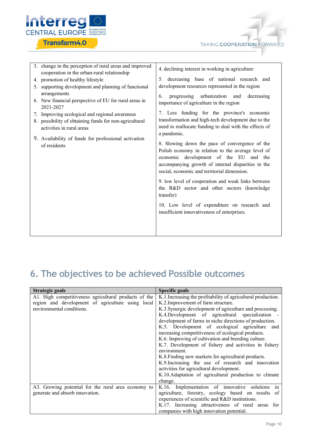



| 3. change in the perception of rural areas and improved<br>cooperation in the urban-rural relationship | 4. declining interest in working in agriculture                                                                                                                                                                                                     |
|--------------------------------------------------------------------------------------------------------|-----------------------------------------------------------------------------------------------------------------------------------------------------------------------------------------------------------------------------------------------------|
| 4. promotion of healthy lifestyle                                                                      | 5. decreasing base of national research and                                                                                                                                                                                                         |
| 5. supporting development and planning of functional                                                   | development resources represented in the region                                                                                                                                                                                                     |
| arrangements                                                                                           | progressing urbanization and decreasing<br>6.                                                                                                                                                                                                       |
| 6. New financial perspective of EU for rural areas in<br>2021-2027                                     | importance of agriculture in the region                                                                                                                                                                                                             |
| 7. Improving ecological and regional awareness                                                         | 7. Less funding for the province's economic                                                                                                                                                                                                         |
| 8. possibility of obtaining funds for non-agricultural<br>activities in rural areas                    | transformation and high-tech development due to the<br>need to reallocate funding to deal with the effects of                                                                                                                                       |
| 9. Availability of funds for professional activation                                                   | a pandemic.                                                                                                                                                                                                                                         |
| of residents                                                                                           | 8. Slowing down the pace of convergence of the<br>Polish economy in relation to the average level of<br>economic development of the EU and the<br>accompanying growth of internal disparities in the<br>social, economic and territorial dimension. |
|                                                                                                        | 9. low level of cooperation and weak links between<br>the R&D sector and other sectors (knowledge<br>transfer)                                                                                                                                      |
|                                                                                                        | 10. Low level of expenditure on research and<br>insufficient innovativeness of enterprises.                                                                                                                                                         |
|                                                                                                        |                                                                                                                                                                                                                                                     |

## **6. The objectives to be achieved Possible outcomes**

| Strategic goals                                       | <b>Specific goals</b>                                         |
|-------------------------------------------------------|---------------------------------------------------------------|
| A1. High competitiveness agricultural products of the | K.1. Increasing the profitability of agricultural production. |
| region and development of agriculture using local     | K.2. Improvement of farm structure.                           |
| environmental conditions.                             | K.3. Synergic development of agriculture and processing.      |
|                                                       | K.4. Development of agricultural specialization               |
|                                                       | development of farms in niche directions of production.       |
|                                                       | K.5. Development of ecological agriculture<br>and             |
|                                                       | increasing competitiveness of ecological products.            |
|                                                       | K.6. Improving of cultivation and breeding culture.           |
|                                                       | K.7. Development of fishery and activities in fishery         |
|                                                       | environment.                                                  |
|                                                       | K.8. Finding new markets for agricultural products.           |
|                                                       | K.9. Increasing the use of research and innovation            |
|                                                       | activities for agricultural development.                      |
|                                                       | K.10. Adaptation of agricultural production to climate        |
|                                                       | change.                                                       |
| A3. Growing potential for the rural area economy to   | K.16. Implementation of innovative solutions in               |
| generate and absorb innovation.                       | agriculture, forestry, ecology based on results of            |
|                                                       | experiences of scientific and R&D institutions.               |
|                                                       | K.17. Increasing attractiveness of rural areas for            |
|                                                       | companies with high innovation potential.                     |